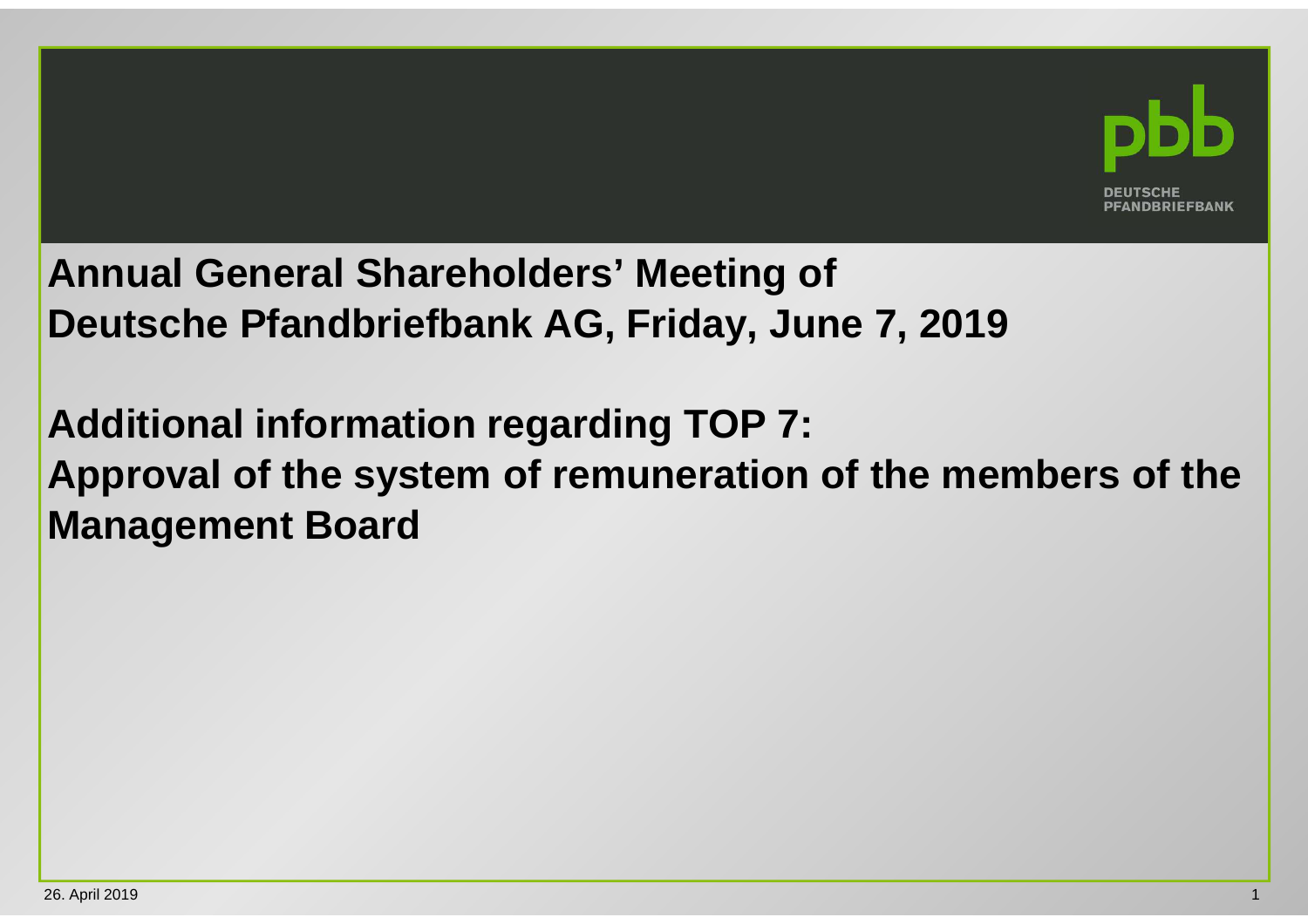

## **Annual General Shareholders' Meeting of Deutsche Pfandbriefbank AG, Friday, June 7, 2019**

**Additional information regarding TOP 7: Approval of the system of remuneration of the members of the Management Board**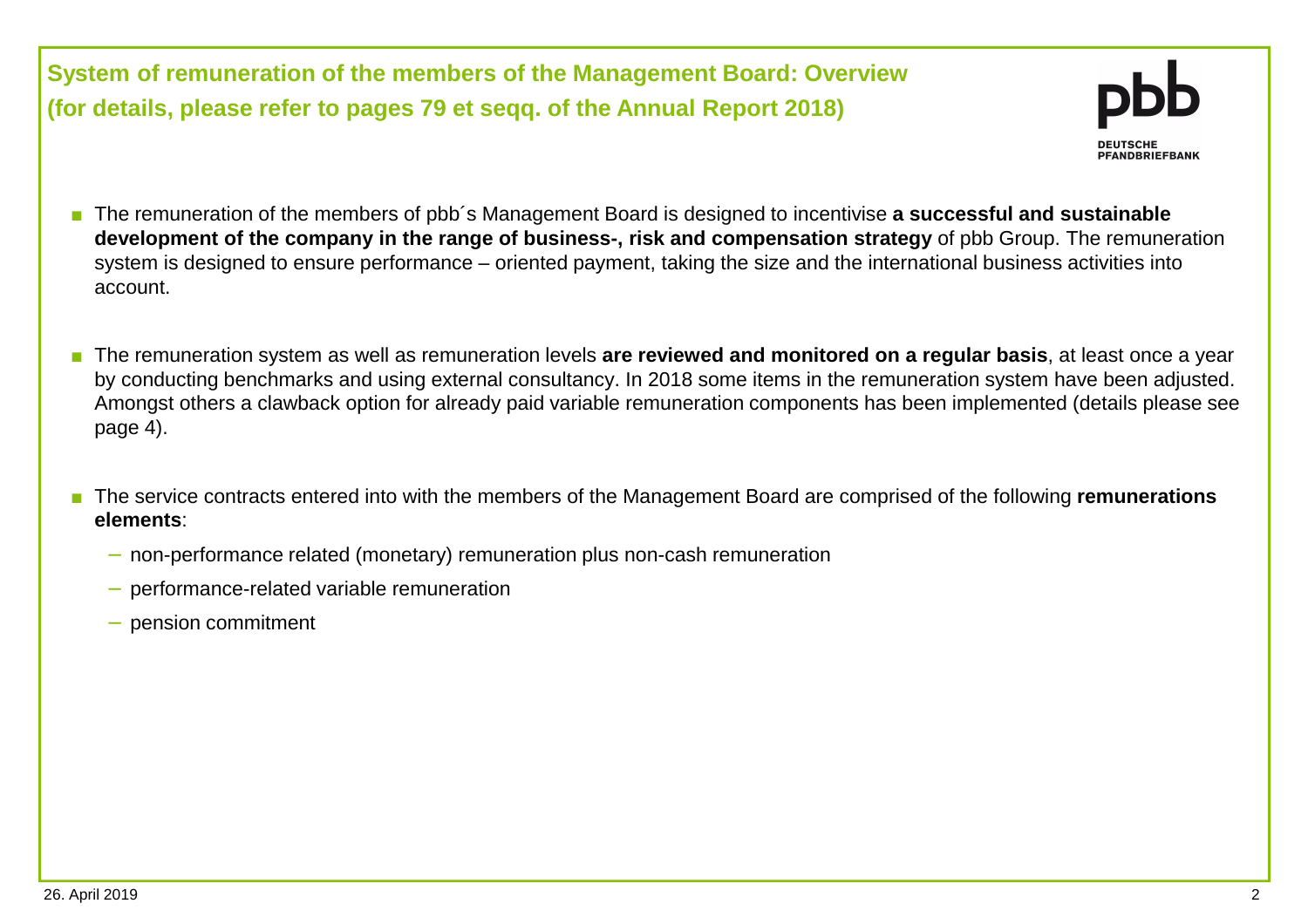**System of remuneration of the members of the Management Board: Overview(for details, please refer to pages 79 et seqq. of the Annual Report 2018)**



- The remuneration of the members of pbb<sup>′</sup>s Management Board is designed to incentivise **a successful and sustainable development of the company in the range of business-, risk and compensation strategy** of pbb Group. The remuneration system is designed to ensure performance – oriented payment, taking the size and the international business activities into account.
- The remuneration system as well as remuneration levels **are reviewed and monitored on a regular basis**, at least once a year by conducting benchmarks and using external consultancy. In 2018 some items in the remuneration system have been adjusted. Amongst others a clawback option for already paid variable remuneration components has been implemented (details please see page 4).
- The service contracts entered into with the members of the Management Board are comprised of the following **remunerations elements**:
	- − non-performance related (monetary) remuneration plus non-cash remuneration
	- − performance-related variable remuneration
	- − pension commitment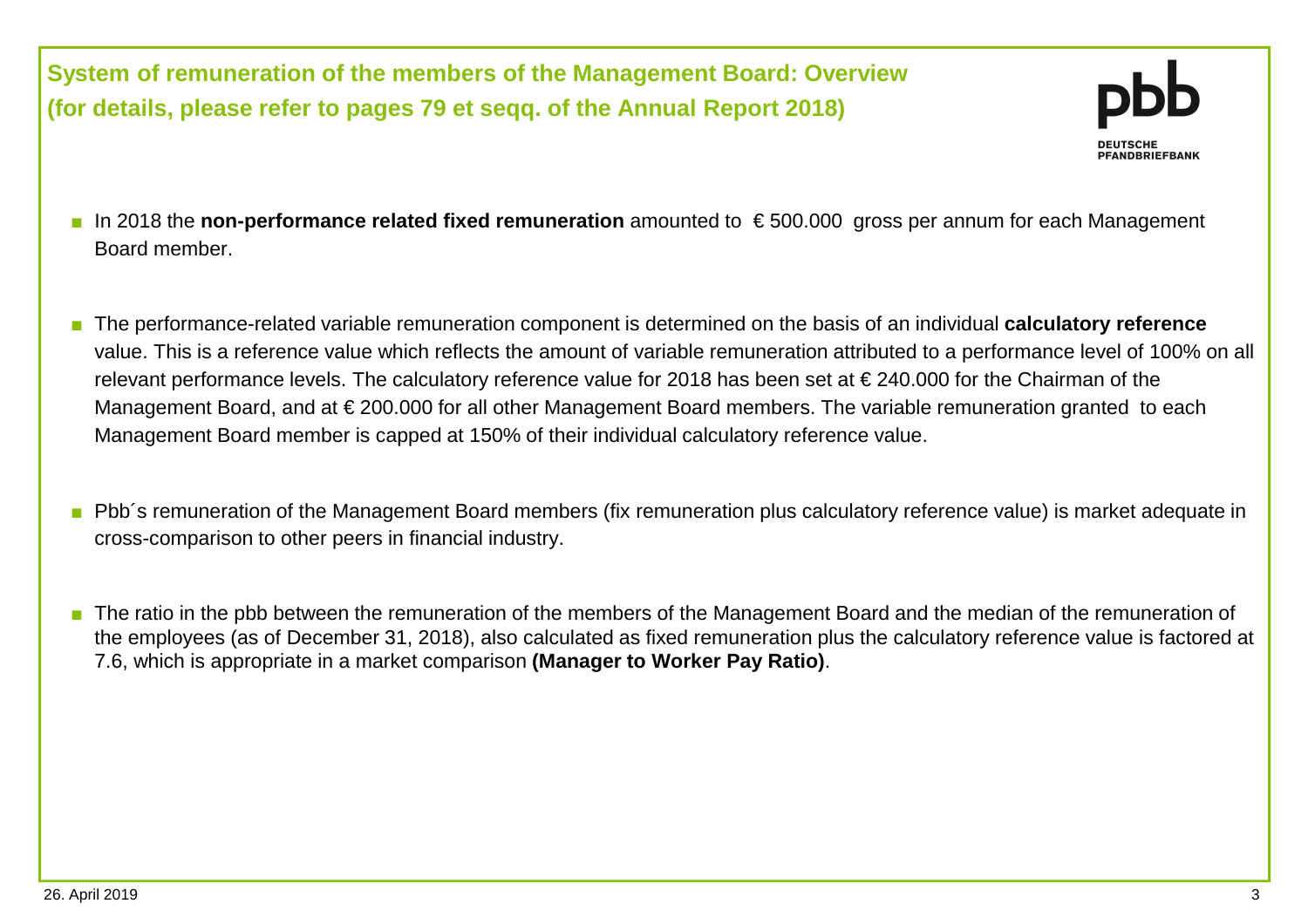**System of remuneration of the members of the Management Board: Overview(for details, please refer to pages 79 et seqq. of the Annual Report 2018)**

- PFANDBRIEFBANK
- In 2018 the **non-performance related fixed remuneration** amounted to € 500.000 gross per annum for each Management Board member.
- The performance-related variable remuneration component is determined on the basis of an individual **calculatory reference** value. This is a reference value which reflects the amount of variable remuneration attributed to a performance level of 100% on all relevant performance levels. The calculatory reference value for 2018 has been set at € 240.000 for the Chairman of the Management Board, and at € 200.000 for all other Management Board members. The variable remuneration granted to each Management Board member is capped at 150% of their individual calculatory reference value.
- Pbb´s remuneration of the Management Board members (fix remuneration plus calculatory reference value) is market adequate in cross-comparison to other peers in financial industry.
- The ratio in the pbb between the remuneration of the members of the Management Board and the median of the remuneration of the employees (as of December 31, 2018), also calculated as fixed remuneration plus the calculatory reference value is factored at 7.6, which is appropriate in a market comparison **(Manager to Worker Pay Ratio)**.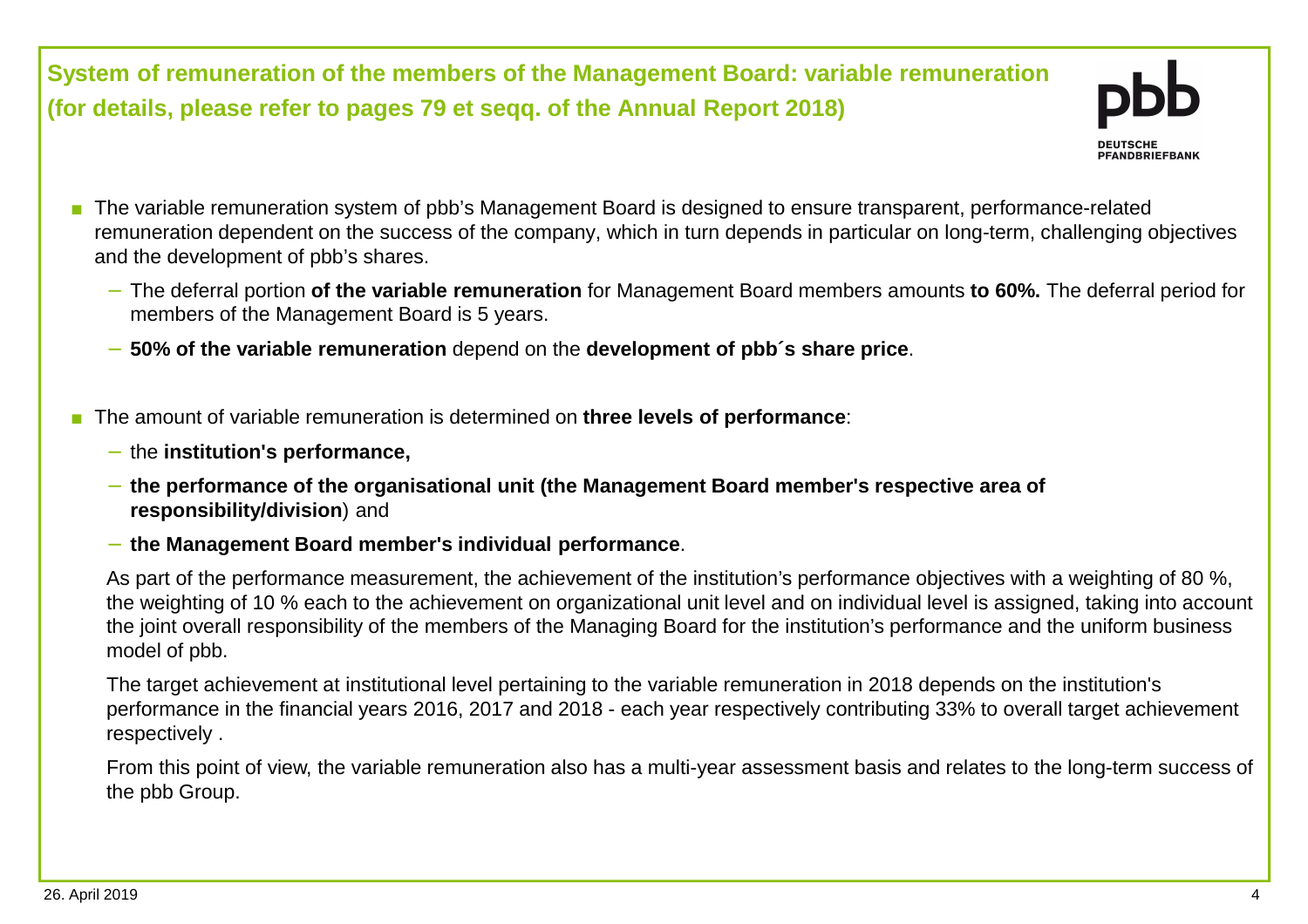**System of remuneration of the members of the Management Board: variable remuneration(for details, please refer to pages 79 et seqq. of the Annual Report 2018)**



- The variable remuneration system of pbb's Management Board is designed to ensure transparent, performance-related remuneration dependent on the success of the company, which in turn depends in particular on long-term, challenging objectives and the development of pbb's shares.
	- − The deferral portion **of the variable remuneration** for Management Board members amounts **to 60%.** The deferral period for members of the Management Board is 5 years.
	- − **50% of the variable remuneration** depend on the **development of pbb´s share price**.
- The amount of variable remuneration is determined on **three levels of performance**:
	- − the **institution's performance,**
	- − **the performance of the organisational unit (the Management Board member's respective area of responsibility/division**) and
	- − **the Management Board member's individual performance**.

As part of the performance measurement, the achievement of the institution's performance objectives with a weighting of 80 %, the weighting of 10 % each to the achievement on organizational unit level and on individual level is assigned, taking into account the joint overall responsibility of the members of the Managing Board for the institution's performance and the uniform businessmodel of pbb.

The target achievement at institutional level pertaining to the variable remuneration in 2018 depends on the institution's performance in the financial years 2016, 2017 and 2018 - each year respectively contributing 33% to overall target achievement respectively .

From this point of view, the variable remuneration also has a multi-year assessment basis and relates to the long-term success of the pbb Group.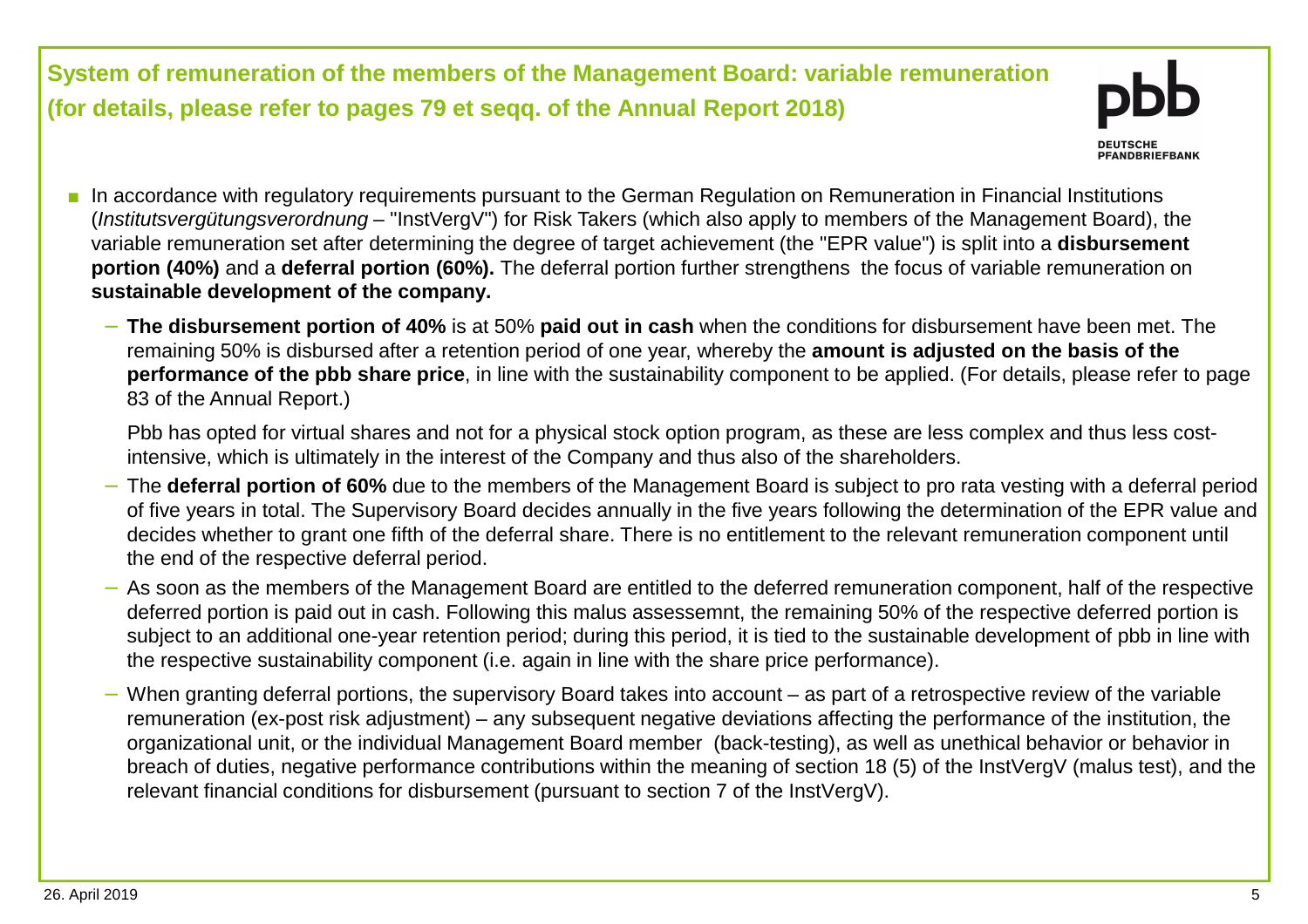**System of remuneration of the members of the Management Board: variable remuneration(for details, please refer to pages 79 et seqq. of the Annual Report 2018)**



- In accordance with regulatory requirements pursuant to the German Regulation on Remuneration in Financial Institutions (Institutsvergütungsverordnung – "InstVergV") for Risk Takers (which also apply to members of the Management Board), the variable remuneration set after determining the degree of target achievement (the "EPR value") is split into a **disbursement portion (40%)** and a **deferral portion (60%).** The deferral portion further strengthens the focus of variable remuneration on **sustainable development of the company.** 
	- − **The disbursement portion of 40%** is at 50% **paid out in cash** when the conditions for disbursement have been met. The remaining 50% is disbursed after a retention period of one year, whereby the **amount is adjusted on the basis of the performance of the pbb share price**, in line with the sustainability component to be applied. (For details, please refer to page 83 of the Annual Report.)

Pbb has opted for virtual shares and not for a physical stock option program, as these are less complex and thus less costintensive, which is ultimately in the interest of the Company and thus also of the shareholders.

- The **deferral portion of 60%** due to the members of the Management Board is subject to pro rata vesting with a deferral period of five years in total. The Supervisory Board decides annually in the five years following the determination of the EPR value and decides whether to grant one fifth of the deferral share. There is no entitlement to the relevant remuneration component until the end of the respective deferral period.
- − As soon as the members of the Management Board are entitled to the deferred remuneration component, half of the respective deferred portion is paid out in cash. Following this malus assessemnt, the remaining 50% of the respective deferred portion is subject to an additional one-year retention period; during this period, it is tied to the sustainable development of pbb in line with the respective sustainability component (i.e. again in line with the share price performance).
- When granting deferral portions, the supervisory Board takes into account as part of a retrospective review of the variable remuneration (ex-post risk adjustment) – any subsequent negative deviations affecting the performance of the institution, the organizational unit, or the individual Management Board member (back-testing), as well as unethical behavior or behavior in breach of duties, negative performance contributions within the meaning of section 18 (5) of the InstVergV (malus test), and the relevant financial conditions for disbursement (pursuant to section 7 of the InstVergV).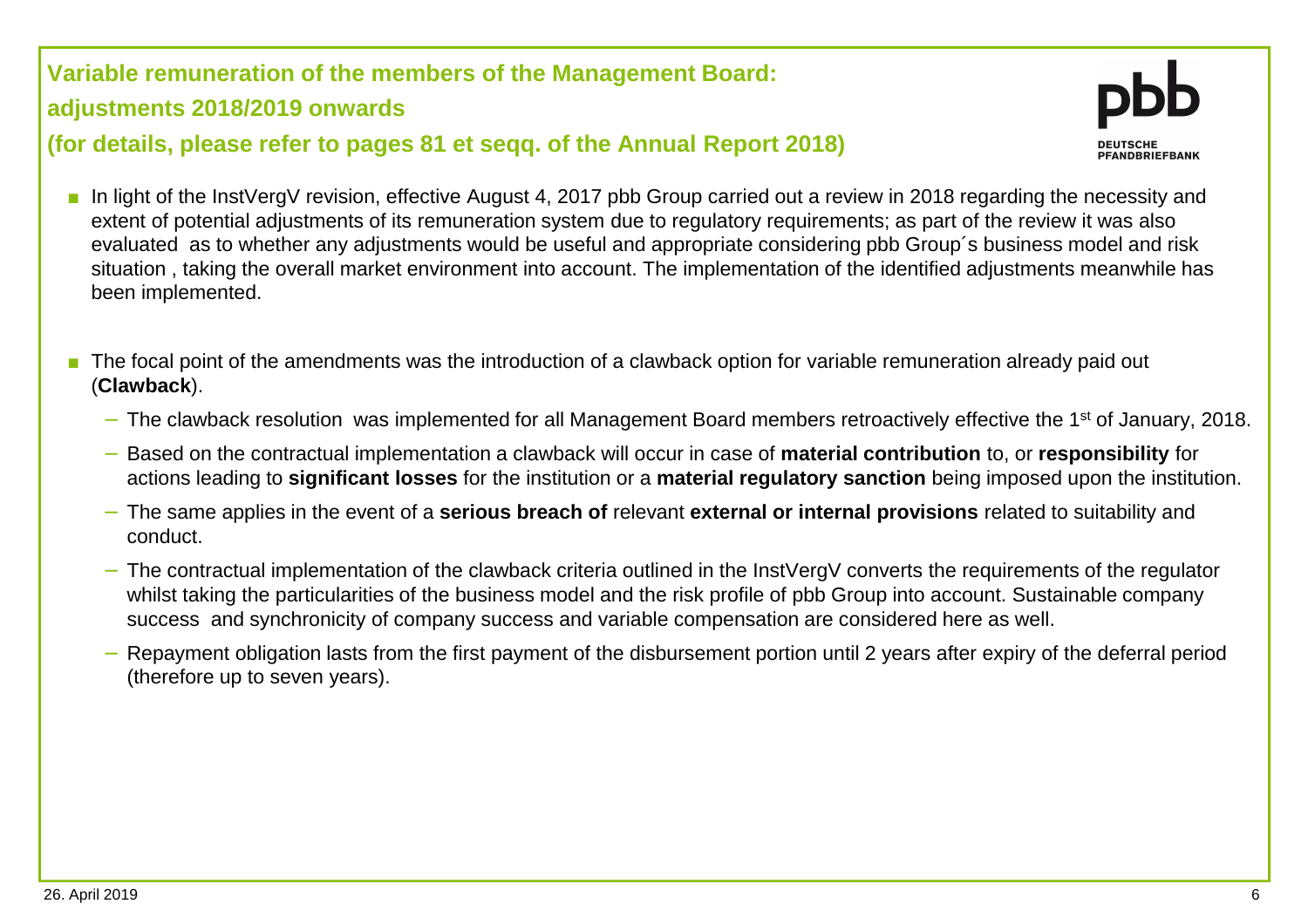**Variable remuneration of the members of the Management Board: adjustments 2018/2019 onwards (for details, please refer to pages 81 et seqq. of the Annual Report 2018)**



- In light of the InstVergV revision, effective August 4, 2017 pbb Group carried out a review in 2018 regarding the necessity and extent of potential adjustments of its remuneration system due to regulatory requirements; as part of the review it was also evaluated as to whether any adjustments would be useful and appropriate considering pbb Group´s business model and risk situation , taking the overall market environment into account. The implementation of the identified adjustments meanwhile has been implemented.
- The focal point of the amendments was the introduction of a clawback option for variable remuneration already paid out (**Clawback**).
	- − The clawback resolution was implemented for all Management Board members retroactively effective the 1<sup>st</sup> of January, 2018.
	- − Based on the contractual implementation a clawback will occur in case of **material contribution** to, or **responsibility** for actions leading to **significant losses** for the institution or a **material regulatory sanction** being imposed upon the institution.
	- − The same applies in the event of a **serious breach of** relevant **external or internal provisions** related to suitability and conduct.
	- The contractual implementation of the clawback criteria outlined in the InstVergV converts the requirements of the regulator whilst taking the particularities of the business model and the risk profile of pbb Group into account. Sustainable company success and synchronicity of company success and variable compensation are considered here as well.
	- Repayment obligation lasts from the first payment of the disbursement portion until 2 years after expiry of the deferral period (therefore up to seven years).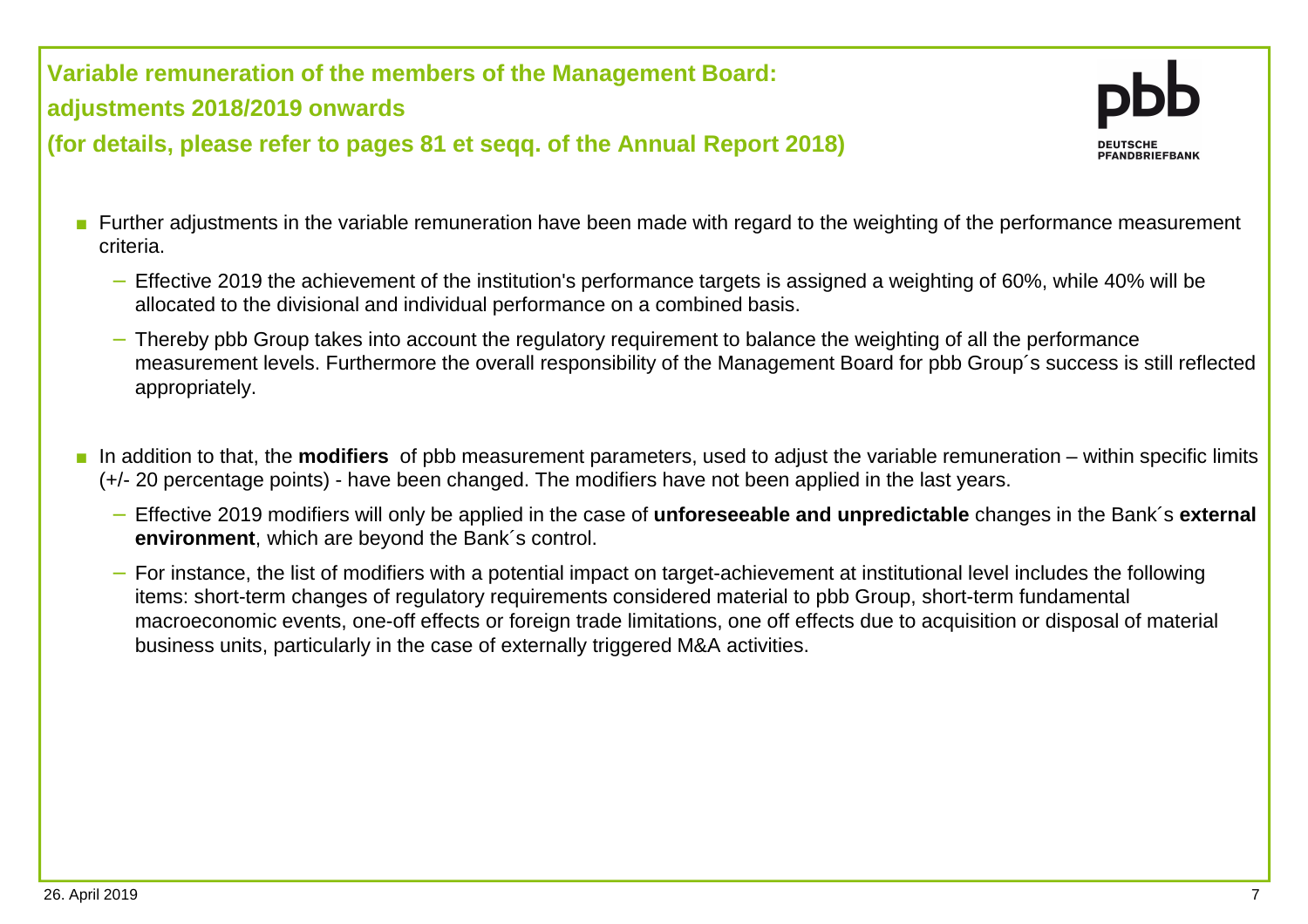**Variable remuneration of the members of the Management Board:** 

**adjustments 2018/2019 onwards** 

**(for details, please refer to pages 81 et seqq. of the Annual Report 2018)**

- Further adjustments in the variable remuneration have been made with regard to the weighting of the performance measurement criteria.
	- Effective 2019 the achievement of the institution's performance targets is assigned a weighting of 60%, while 40% will be allocated to the divisional and individual performance on a combined basis.
	- − Thereby pbb Group takes into account the regulatory requirement to balance the weighting of all the performance measurement levels. Furthermore the overall responsibility of the Management Board for pbb Group´s success is still reflected appropriately.
- In addition to that, the **modifiers** of pbb measurement parameters, used to adjust the variable remuneration within specific limits (+/- 20 percentage points) - have been changed. The modifiers have not been applied in the last years.
	- − Effective 2019 modifiers will only be applied in the case of **unforeseeable and unpredictable** changes in the Bank´s **external environment**, which are beyond the Bank´s control.
	- − For instance, the list of modifiers with a potential impact on target-achievement at institutional level includes the following items: short-term changes of regulatory requirements considered material to pbb Group, short-term fundamental macroeconomic events, one-off effects or foreign trade limitations, one off effects due to acquisition or disposal of material business units, particularly in the case of externally triggered M&A activities.

PEANDRPIFFRANK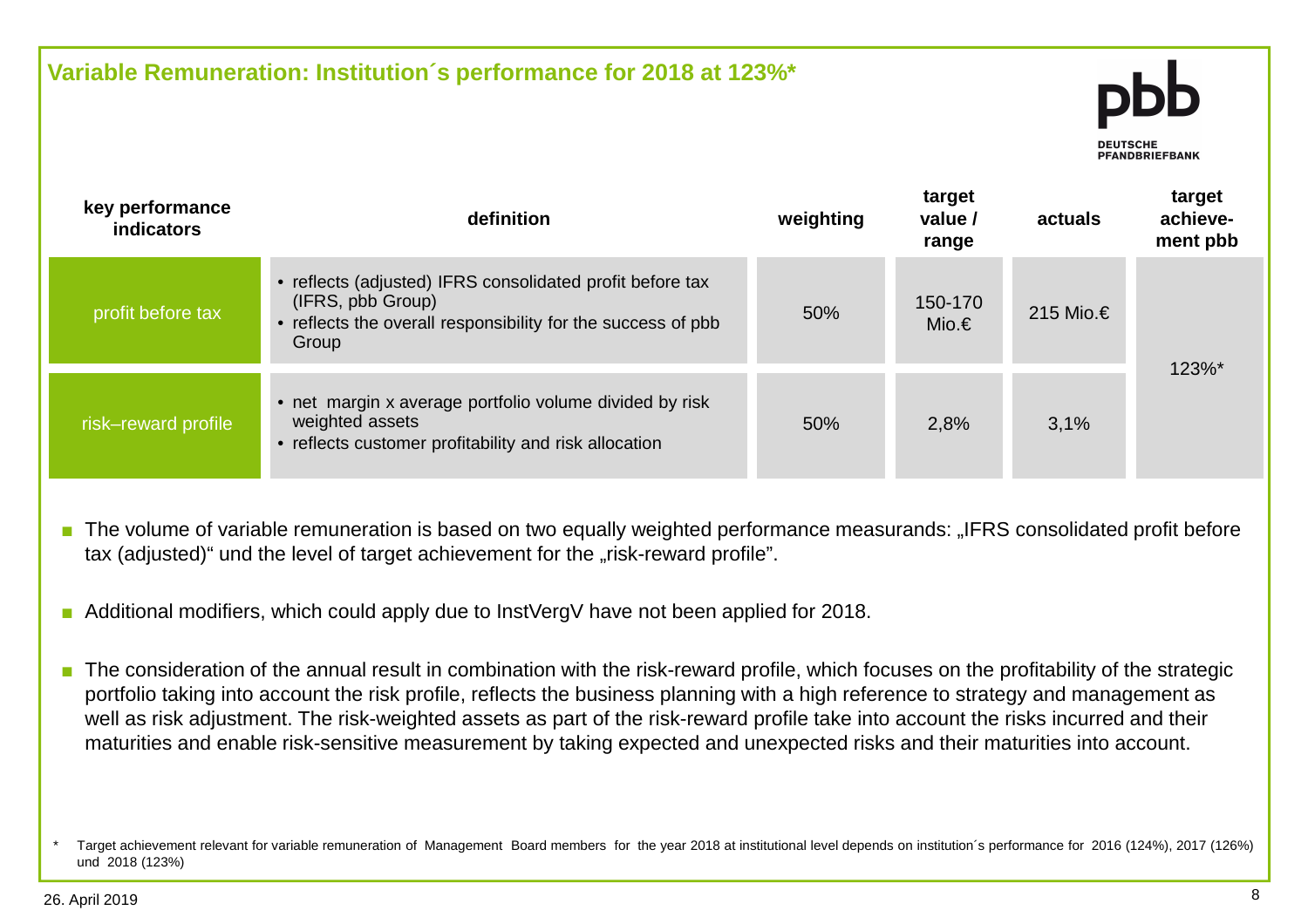

- The volume of variable remuneration is based on two equally weighted performance measurands: "IFRS consolidated profit before tax (adjusted)" und the level of target achievement for the "risk-reward profile".
- ■Additional modifiers, which could apply due to InstVergV have not been applied for 2018.
- The consideration of the annual result in combination with the risk-reward profile, which focuses on the profitability of the strategic portfolio taking into account the risk profile, reflects the business planning with a high reference to strategy and management as well as risk adjustment. The risk-weighted assets as part of the risk-reward profile take into account the risks incurred and their maturities and enable risk-sensitive measurement by taking expected and unexpected risks and their maturities into account.

<sup>\*</sup> Target achievement relevant for variable remuneration of Management Board members for the year 2018 at institutional level depends on institution´s performance for 2016 (124%), 2017 (126%) und 2018 (123%)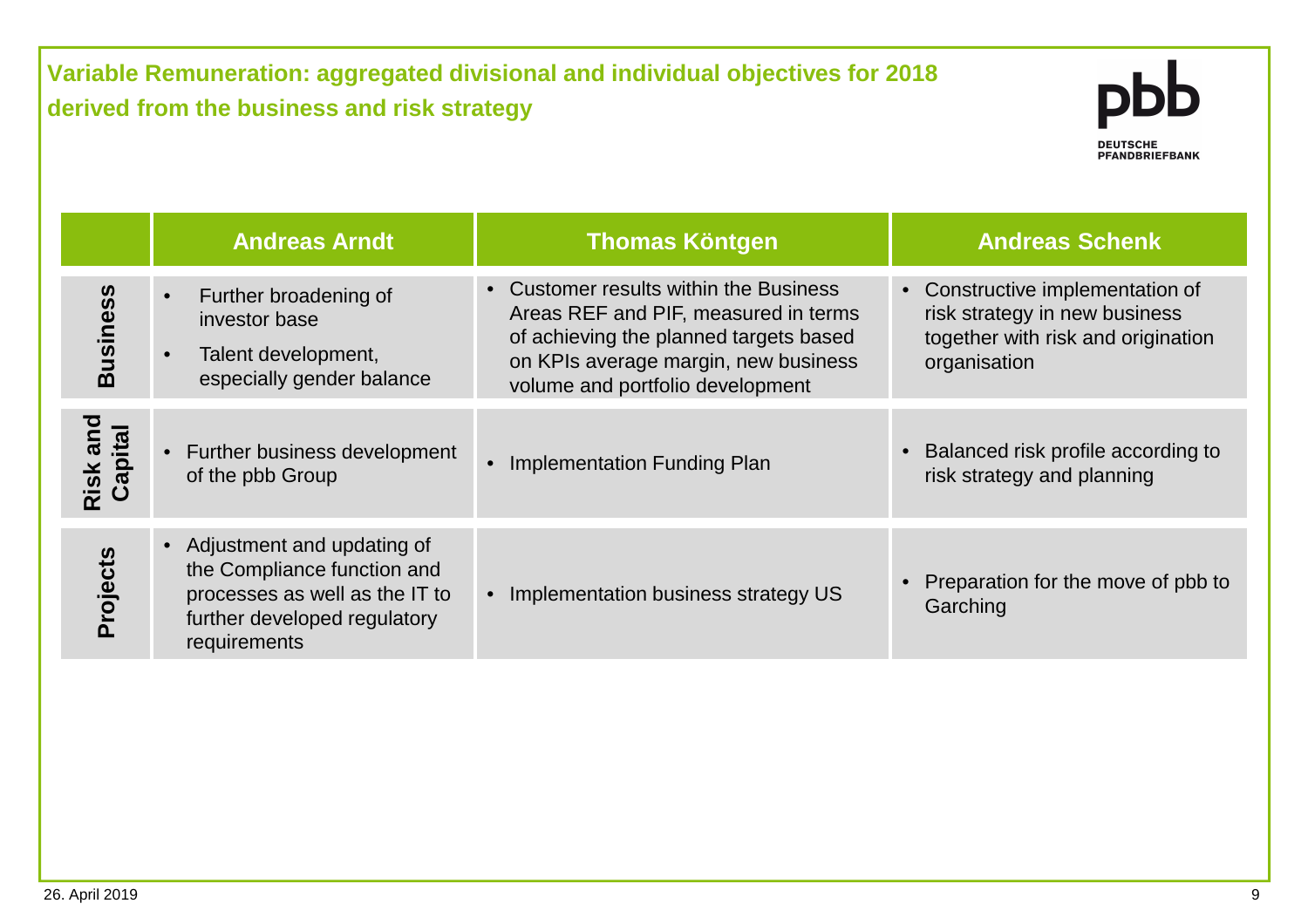**Variable Remuneration: aggregated divisional and individual objectives for 2018 derived from the business and risk strategy**



|                     | <b>Andreas Arndt</b>                                                                                                                          | <b>Thomas Köntgen</b>                                                                                                                                                                                | <b>Andreas Schenk</b>                                                                                                              |
|---------------------|-----------------------------------------------------------------------------------------------------------------------------------------------|------------------------------------------------------------------------------------------------------------------------------------------------------------------------------------------------------|------------------------------------------------------------------------------------------------------------------------------------|
| <b>Business</b>     | Further broadening of<br>$\bullet$<br>investor base<br>Talent development,<br>$\bullet$<br>especially gender balance                          | • Customer results within the Business<br>Areas REF and PIF, measured in terms<br>of achieving the planned targets based<br>on KPIs average margin, new business<br>volume and portfolio development | Constructive implementation of<br>$\bullet$<br>risk strategy in new business<br>together with risk and origination<br>organisation |
| Risk and<br>Capital | • Further business development<br>of the pbb Group                                                                                            | Implementation Funding Plan<br>$\bullet$                                                                                                                                                             | Balanced risk profile according to<br>$\bullet$<br>risk strategy and planning                                                      |
| Projects            | • Adjustment and updating of<br>the Compliance function and<br>processes as well as the IT to<br>further developed regulatory<br>requirements | Implementation business strategy US<br>$\bullet$                                                                                                                                                     | Preparation for the move of pbb to<br>Garching                                                                                     |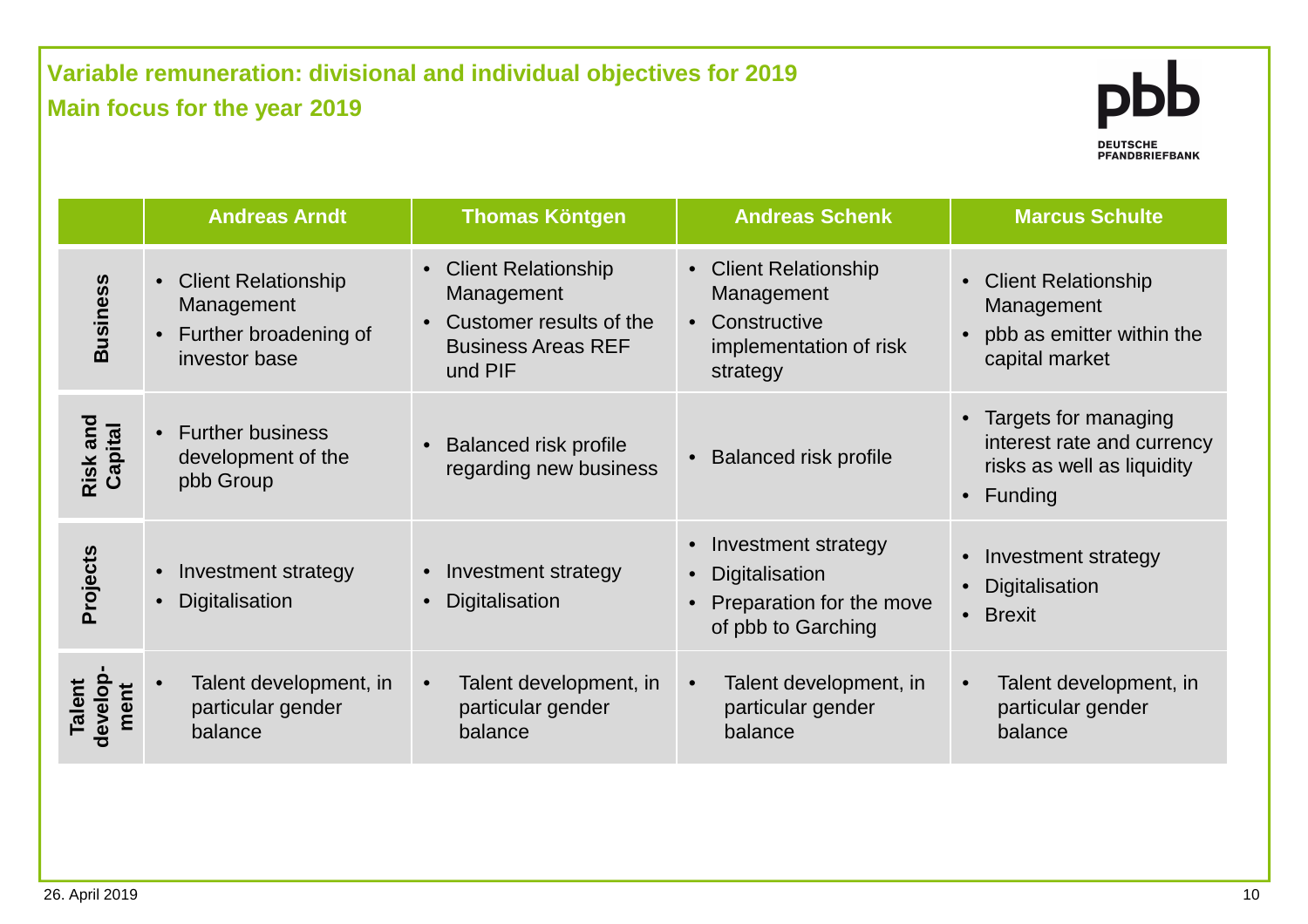## **Variable remuneration: divisional and individual objectives for 2019 Main focus for the year 2019**



|                            | <b>Andreas Arndt</b>                                                                                         | <b>Thomas Köntgen</b>                                                                                               | <b>Andreas Schenk</b>                                                                                  | <b>Marcus Schulte</b>                                                                                 |
|----------------------------|--------------------------------------------------------------------------------------------------------------|---------------------------------------------------------------------------------------------------------------------|--------------------------------------------------------------------------------------------------------|-------------------------------------------------------------------------------------------------------|
| <b>Business</b>            | <b>Client Relationship</b><br>$\bullet$<br>Management<br>Further broadening of<br>$\bullet$<br>investor base | • Client Relationship<br>Management<br>Customer results of the<br>$\bullet$<br><b>Business Areas REF</b><br>und PIF | • Client Relationship<br>Management<br>Constructive<br>$\bullet$<br>implementation of risk<br>strategy | <b>Client Relationship</b><br>Management<br>pbb as emitter within the<br>$\bullet$<br>capital market  |
| Risk and<br>Capital        | <b>Further business</b><br>$\bullet$<br>development of the<br>pbb Group                                      | <b>Balanced risk profile</b><br>regarding new business                                                              | <b>Balanced risk profile</b>                                                                           | Targets for managing<br>interest rate and currency<br>risks as well as liquidity<br>$\bullet$ Funding |
| Projects                   | Investment strategy<br>$\bullet$<br>Digitalisation<br>$\bullet$                                              | Investment strategy<br>$\bullet$<br>Digitalisation                                                                  | Investment strategy<br>$\bullet$<br>Digitalisation<br>Preparation for the move<br>of pbb to Garching   | Investment strategy<br>Digitalisation<br>• Brexit                                                     |
| develop-<br>Talent<br>ment | Talent development, in<br>particular gender<br>balance                                                       | Talent development, in<br>particular gender<br>balance                                                              | Talent development, in<br>particular gender<br>balance                                                 | Talent development, in<br>$\bullet$<br>particular gender<br>balance                                   |